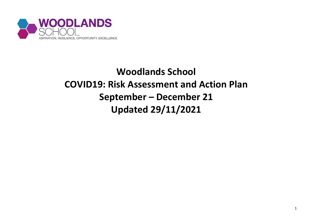

## **Woodlands School COVID19: Risk Assessment and Action Plan September – December 21 Updated 29/11/2021**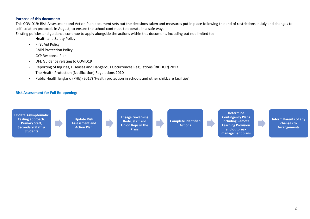## **Purpose of this document:**

This COVID19: Risk Assessment and Action Plan document sets out the decisions taken and measures put in place following the end of restrictions in July and changes to self-isolation protocols in August, to ensure the school continues to operate in a safe way.

Existing policies and guidance continue to apply alongside the actions within this document, including but not limited to:

- Health and Safety Policy
- First Aid Policy
- Child Protection Policy
- CYP Response Plan
- DFE Guidance relating to COVID19
- Reporting of Injuries, Diseases and Dangerous Occurrences Regulations (RIDDOR) 2013
- The Health Protection (Notification) Regulations 2010
- Public Health England (PHE) (2017) 'Health protection in schools and other childcare facilities'

## **Risk Assessment for Full Re-opening:**

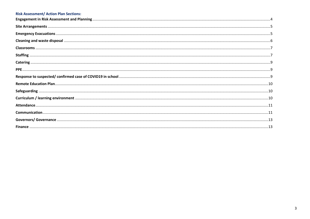## **Risk Assessment/ Action Plan Sections:**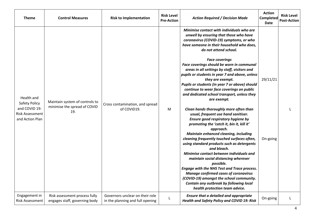<span id="page-3-0"></span>

| <b>Theme</b>                                                                              | <b>Control Measures</b>                                               | <b>Risk to Implementation</b>                                       | <b>Risk Level</b><br><b>Pre-Action</b> | <b>Action Required / Decision Made</b>                                                                                                                                                                                                                                                                                                                                                                                                                                                                                                                                                                                                                                                                                                         | <b>Action</b><br><b>Completed</b><br>Date | <b>Risk Level</b><br><b>Post-Action</b> |
|-------------------------------------------------------------------------------------------|-----------------------------------------------------------------------|---------------------------------------------------------------------|----------------------------------------|------------------------------------------------------------------------------------------------------------------------------------------------------------------------------------------------------------------------------------------------------------------------------------------------------------------------------------------------------------------------------------------------------------------------------------------------------------------------------------------------------------------------------------------------------------------------------------------------------------------------------------------------------------------------------------------------------------------------------------------------|-------------------------------------------|-----------------------------------------|
| Health and<br>Safety Policy<br>and COVID 19:<br><b>Risk Assessment</b><br>and Action Plan | Maintain system of controls to<br>minimise the spread of COVID<br>19. | Cross contamination, and spread<br>of COVID19.                      | M                                      | Minimise contact with individuals who are<br>unwell by ensuring that those who have<br>coronavirus (COVID-19) symptoms, or who<br>have someone in their household who does,<br>do not attend school.<br><b>Face coverings</b><br>Face coverings should be worn in communal<br>areas in all settings by staff, visitors and<br>pupils or students in year 7 and above, unless<br>they are exempt.<br>Pupils or students (in year 7 or above) should<br>continue to wear face coverings on public<br>and dedicated school transport, unless they<br>are exempt.<br>Clean hands thoroughly more often than<br>usual, frequent use hand sanitiser.<br>Ensure good respiratory hygiene by<br>promoting the 'catch it, bin it, kill it'<br>approach. | 29/11/21                                  |                                         |
|                                                                                           |                                                                       |                                                                     |                                        | Maintain enhanced cleaning, including<br>cleaning frequently touched surfaces often,<br>using standard products such as detergents<br>and bleach.<br>Minimise contact between individuals and<br>maintain social distancing wherever<br>possible.<br><b>Engage with the NHS Test and Trace process.</b><br><b>Manage confirmed cases of coronavirus</b><br>(COVID-19) amongst the school community.<br>Contain any outbreak by following local<br>health protection team advice.                                                                                                                                                                                                                                                               | On-going                                  |                                         |
| Engagement in<br><b>Risk Assessment</b>                                                   | Risk assessment process fully<br>engages staff, governing body        | Governors unclear on their role<br>in the planning and full opening |                                        | <b>Ensure that a detailed and appropriate</b><br><b>Health and Safety Policy and COVID 19: Risk</b>                                                                                                                                                                                                                                                                                                                                                                                                                                                                                                                                                                                                                                            | On-going                                  | L                                       |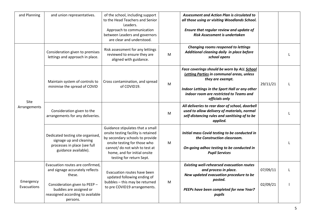<span id="page-4-1"></span><span id="page-4-0"></span>

| and Planning             | and union representatives.                                                                                                                                                                 | of the school, including support<br>to the Head Teachers and Senior<br>Leaders.<br>Approach to communication<br>between Leaders and governors<br>are clear and understood.                                                               |   | Assessment and Action Plan is circulated to<br>all those using or visiting Woodlands School.<br>Ensure that regular review and update of<br>Risk Assessment is undertaken                                                          |                      |  |
|--------------------------|--------------------------------------------------------------------------------------------------------------------------------------------------------------------------------------------|------------------------------------------------------------------------------------------------------------------------------------------------------------------------------------------------------------------------------------------|---|------------------------------------------------------------------------------------------------------------------------------------------------------------------------------------------------------------------------------------|----------------------|--|
|                          | Consideration given to premises<br>lettings and approach in place.                                                                                                                         | Risk assessment for any lettings<br>reviewed to ensure they are<br>aligned with guidance.                                                                                                                                                | M | Changing rooms reopened to lettings<br>Additional cleaning daily in place before<br>school opens                                                                                                                                   |                      |  |
|                          | Maintain system of controls to<br>minimise the spread of COVID                                                                                                                             | Cross contamination, and spread<br>of COVID19.                                                                                                                                                                                           | M | Face coverings should be worn by ALL School<br><b>Letting Parties in communal areas, unless</b><br>they are exempt.<br>Indoor Lettings in the Sport Hall or any other<br>indoor room are restricted to Teams and<br>officials only | 29/11/21             |  |
| Site<br>Arrangements     | Consideration given to the<br>arrangements for any deliveries.                                                                                                                             |                                                                                                                                                                                                                                          | M | All deliveries to rear door of school, doorbell<br>used to allow delivery of materials, normal<br>self-distancing rules and sanitising of to be<br>applied.                                                                        |                      |  |
|                          | Dedicated testing site organised,<br>signage up and cleaning<br>processes in place (see full<br>guidance available).                                                                       | Guidance stipulates that a small<br>onsite testing facility is retained<br>by secondary schools to provide<br>onsite testing for those who<br>cannot/ do not wish to test at<br>home, and for initial onsite<br>testing for return Sept. | M | Initial mass Covid testing to be conducted in<br>the Construction classroom.<br>On-going adhoc testing to be conducted in<br><b>Pupil Services</b>                                                                                 |                      |  |
| Emergency<br>Evacuations | Evacuation routes are confirmed,<br>and signage accurately reflects<br>these.<br>Consideration given to PEEP -<br>buddies are assigned or<br>reassigned according to available<br>persons. | Evacuation routes have been<br>updated following ending of<br>bubbles - this may be returned<br>to pre COVID19 arrangements.                                                                                                             | M | <b>Existing well-rehearsed evacuation routes</b><br>and process in place.<br>New updated evacuation procedure to be<br>posted.<br>PEEPs have been completed for new Year7<br>pupils                                                | 07/09/11<br>02/09/21 |  |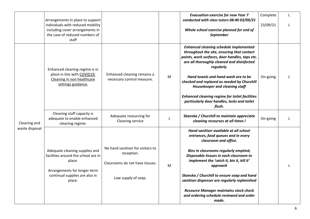<span id="page-5-0"></span>

|                | Arrangements in place to support                                                                                |                                                                                    |   | <b>Evacuation exercise for new Year 7</b><br>conducted with class tutors 08:40 03/09/21                                                                                                                   | Complete | L |
|----------------|-----------------------------------------------------------------------------------------------------------------|------------------------------------------------------------------------------------|---|-----------------------------------------------------------------------------------------------------------------------------------------------------------------------------------------------------------|----------|---|
|                | individuals with reduced mobility<br>including cover arrangements in<br>the case of reduced numbers of<br>staff |                                                                                    |   | Whole school exercise planned for end of<br>September                                                                                                                                                     | 23/09/21 | L |
|                | Enhanced cleaning regime is in                                                                                  |                                                                                    |   | <b>Enhanced cleaning schedule implemented</b><br>throughout the site, ensuring that contact<br>points, work surfaces, door handles, taps etc.<br>are all thoroughly cleaned and disinfected<br>regularly. |          |   |
|                | place in line with COVID19:<br>Cleaning in non healthcare<br>settings guidance.                                 | Enhanced cleaning remains a<br>necessary control measure.                          | M | Hand towels and hand wash are to be<br>checked and replaced as needed by Churchill<br>Housekeeper and cleaning staff                                                                                      | On-going | L |
|                |                                                                                                                 |                                                                                    |   | <b>Enhanced cleaning regime for toilet facilities</b><br>particularly door handles, locks and toilet<br>flush.                                                                                            |          |   |
| Cleaning and   | Cleaning staff capacity is<br>adequate to enable enhanced<br>cleaning regime.                                   | Adequate resourcing for<br>Cleaning service                                        |   | Skanska / Churchill to maintain appreciate<br>cleaning recourses at all times I                                                                                                                           | On-going |   |
| waste disposal |                                                                                                                 |                                                                                    |   | Hand sanitiser available at all school<br>entrances, food queues and in every<br>classroom and office.                                                                                                    |          |   |
|                | Adequate cleaning supplies and<br>facilities around the school are in<br>place.<br>Arrangements for longer-term | No hand sanitiser for visitors to<br>reception.<br>Classrooms do not have tissues. | M | Bins in classrooms regularly emptied,<br>Disposable tissues in each classroom to<br>implement the 'catch it, bin it, kill it'<br>approach                                                                 |          |   |
|                | continual supplies are also in<br>place.                                                                        | Low supply of soap.                                                                |   | Skanska / Churchill to ensure soap and hand<br>sanitiser dispenser are regularly replenished                                                                                                              |          |   |
|                |                                                                                                                 |                                                                                    |   | <b>Resource Manager maintains stock check</b><br>and ordering schedule reviewed and order<br>made.                                                                                                        |          |   |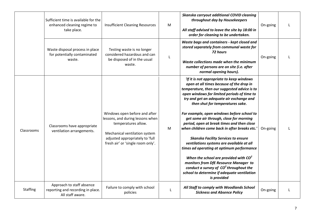<span id="page-6-1"></span><span id="page-6-0"></span>

|                 | Sufficient time is available for the<br>enhanced cleaning regime to<br>take place. | <b>Insufficient Cleaning Resources</b>                                                                                                                                                            | M | Skanska carryout additional COVID cleaning<br>throughout day by Housekeepers<br>All staff advised to leave the site by 18:00 in<br>order for cleaning to be undertaken.                                                                                                                                                                                                                                                                                                                                                                                                                                                                                                                                                                                                                            | On-going |  |
|-----------------|------------------------------------------------------------------------------------|---------------------------------------------------------------------------------------------------------------------------------------------------------------------------------------------------|---|----------------------------------------------------------------------------------------------------------------------------------------------------------------------------------------------------------------------------------------------------------------------------------------------------------------------------------------------------------------------------------------------------------------------------------------------------------------------------------------------------------------------------------------------------------------------------------------------------------------------------------------------------------------------------------------------------------------------------------------------------------------------------------------------------|----------|--|
|                 | Waste disposal process in place<br>for potentially contaminated<br>waste.          | Testing waste is no longer<br>considered hazardous and can<br>be disposed of in the usual<br>waste.                                                                                               |   | Waste bags and containers - kept closed and<br>stored separately from communal waste for<br>72 hours<br>Waste collections made when the minimum<br>number of persons are on site (i.e. after<br>normal opening hours).                                                                                                                                                                                                                                                                                                                                                                                                                                                                                                                                                                             | On-going |  |
| Classrooms      | Classrooms have appropriate<br>ventilation arrangements.                           | Windows open before and after<br>lessons, and during lessons when<br>temperatures allow.<br>Mechanical ventilation system<br>adjusted appropriately to 'full<br>fresh air' or 'single room only'. | м | 'If it is not appropriate to keep windows<br>open at all times because of the drop in<br>temperature, then our suggested advice is to<br>open windows for limited periods of time to<br>try and get an adequate air exchange and<br>then shut for temperatures sake.<br>For example, open windows before school to<br>get some air through, close for morning<br>period, open at break times and then close<br>when children come back in after breaks etc.'<br><b>Skanska Facility Services to ensure</b><br>ventilations systems are available at all<br>times ad operating at optimum performance<br>When the school are provided with $CO2$<br>monitors from DfE Resource Manager to<br>conduct a survey of $CO2$ throughout the<br>school to determine if adequate ventilation<br>is provided | On-going |  |
| <b>Staffing</b> | Approach to staff absence<br>reporting and recording in place.<br>All staff aware. | Failure to comply with school<br>policies                                                                                                                                                         | L | All Staff to comply with Woodlands School<br><b>Sickness and Absence Policy</b>                                                                                                                                                                                                                                                                                                                                                                                                                                                                                                                                                                                                                                                                                                                    | On-going |  |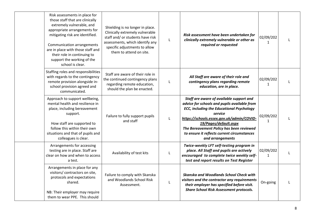| Risk assessments in place for<br>those staff that are clinically<br>extremely vulnerable, and<br>appropriate arrangements for<br>mitigating risk are identified.<br><b>Communication arrangements</b><br>are in place with those staff and<br>their role in continuing to<br>support the working of the<br>school is clear. | Shielding is no longer in place.<br>Clinically extremely vulnerable<br>staff and/ or students have risk<br>assessments, which identify any<br>specific adjustments to allow<br>them to attend on site. | L | Risk assessment have been undertaken for<br>clinically extremely vulnerable or other as<br>required or requested                                                                                                                                                                                                                             | 02/09/202<br>$\mathbf{1}$ |  |
|-----------------------------------------------------------------------------------------------------------------------------------------------------------------------------------------------------------------------------------------------------------------------------------------------------------------------------|--------------------------------------------------------------------------------------------------------------------------------------------------------------------------------------------------------|---|----------------------------------------------------------------------------------------------------------------------------------------------------------------------------------------------------------------------------------------------------------------------------------------------------------------------------------------------|---------------------------|--|
| Staffing roles and responsibilities<br>with regards to the contingency<br>remote provision alongside in-<br>school provision agreed and<br>communicated.                                                                                                                                                                    | Staff are aware of their role in<br>the continued contingency plans<br>regarding remote education,<br>should the plan be enacted.                                                                      | L | All Staff are aware of their role and<br>contingency plans regarding remote<br>education, are in place.                                                                                                                                                                                                                                      | 02/09/202<br>$\mathbf{1}$ |  |
| Approach to support wellbeing,<br>mental health and resilience in<br>place, including bereavement<br>support.<br>How staff are supported to<br>follow this within their own<br>situations and that of pupils and<br>colleagues is clear.                                                                                    | Failure to fully support pupils<br>and staff                                                                                                                                                           | L | Staff are aware of available support and<br>advice for schools and pupils available from<br><b>ECC, including the Educational Psychology</b><br>service<br>https://schools.essex.gov.uk/admin/COVID-<br>19/Pages/default.aspx<br>The Bereavement Policy has been reviewed<br>to ensure it reflects current circumstances<br>and arrangements | 02/09/202<br>1            |  |
| Arrangements for accessing<br>testing are in place. Staff are<br>clear on how and when to access<br>a test.                                                                                                                                                                                                                 | Availability of test kits                                                                                                                                                                              |   | Twice-weekly LFT self-testing program in<br>place. All Staff and pupils are actively<br>encouraged to complete twice weekly self-<br>test and report results on Test Register                                                                                                                                                                | 02/09/202<br>$\mathbf{1}$ |  |
| Arrangements in place for any<br>visitors/ contractors on site,<br>protocols and expectations<br>shared.<br>NB: Their employer may require<br>them to wear PPE. This should                                                                                                                                                 | Failure to comply with Skanska<br>and Woodlands School Risk<br>Assessment.                                                                                                                             | L | Skanska and Woodlands School Check with<br>visitors and the contractor any requirements<br>their employer has specified before visit.<br><b>Share School Risk Assessment protocols.</b>                                                                                                                                                      | On-going                  |  |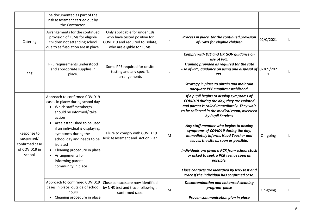<span id="page-8-2"></span><span id="page-8-1"></span><span id="page-8-0"></span>

| Arrangements for the continued<br>Only applicable for under 18s<br>provision of FSMs for eligible<br>who have tested positive for<br>$\mathsf L$<br>Catering<br>children not attending school<br>COVID19 and required to isolate,<br>who are eligible for FSMs.<br>due to self-isolation are in place.                                                                                                                                                                                                                | Process in place for the continued provision<br>02/0/2021<br>of FSMs for eligible children                                                                                                                                                                                                                                                                                                                                                                                                                                                                                                      |
|-----------------------------------------------------------------------------------------------------------------------------------------------------------------------------------------------------------------------------------------------------------------------------------------------------------------------------------------------------------------------------------------------------------------------------------------------------------------------------------------------------------------------|-------------------------------------------------------------------------------------------------------------------------------------------------------------------------------------------------------------------------------------------------------------------------------------------------------------------------------------------------------------------------------------------------------------------------------------------------------------------------------------------------------------------------------------------------------------------------------------------------|
| PPE requirements understood<br>Some PPE required for onsite<br>and appropriate supplies in<br>testing and any specific<br>L<br>PPE<br>place.<br>arrangements                                                                                                                                                                                                                                                                                                                                                          | Comply with DfE and UK GOV guidance on<br>use of PPE.<br>Training provided as required for the safe<br>use of PPE, guidance on using and disposal of $02/09/202$<br>PPE.<br>$\mathbf{1}$<br>Strategy in place to obtain and maintain<br>adequate PPE supplies established.                                                                                                                                                                                                                                                                                                                      |
| Approach to confirmed COVID19<br>cases in place: during school day<br>• Which staff member/s<br>should be informed/take<br>action<br>Area established to be used<br>if an individual is displaying<br>Failure to comply with COVID 19<br>Response to<br>symptoms during the<br>M<br>Risk Assessment and Action Plan<br>suspected/<br>school day and needs to be<br>confirmed case<br>isolated<br>of COVID19 in<br>Cleaning procedure in place<br>school<br>Arrangements for<br>informing parent<br>community in place | If a pupil begins to display symptoms of<br>COVID19 during the day, they are isolated<br>and parent is called immediately. They wait<br>to be collected in the medical room, overseen<br>by Pupil Services<br>Any staff member who begins to display<br>symptoms of COVID19 during the day,<br>immediately informs Head Teacher and<br>On-going<br>leaves the site as soon as possible.<br>Individuals are given a PCR from school stock<br>or asked to seek a PCR test as soon as<br>possible.<br>Close contacts are identified by NHS test and<br>trace if the individual has confirmed case. |
| Approach to confirmed COVID19<br>Close contacts are now identified<br>cases in place: outside of school<br>by NHS test and trace following a<br>M<br>hours<br>confirmed case.<br>• Cleaning procedure in place                                                                                                                                                                                                                                                                                                        | <b>Decontamination and enhanced cleaning</b><br>program place<br>On-going<br>Proven communication plan in place                                                                                                                                                                                                                                                                                                                                                                                                                                                                                 |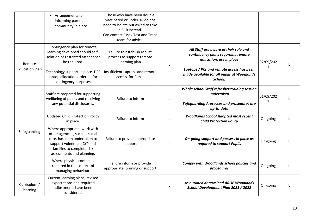<span id="page-9-2"></span><span id="page-9-1"></span><span id="page-9-0"></span>

|                                 | • Arrangements for<br>informing parent<br>community in place                                                                                                                                                        | Those who have been double<br>vaccinated or under 18 do not<br>need to isolate but asked to take<br>a PCR instead.<br>Can contact Essex Test and Trace<br>team for advice. |   |                                                                                                                                                                                                             |                           |  |
|---------------------------------|---------------------------------------------------------------------------------------------------------------------------------------------------------------------------------------------------------------------|----------------------------------------------------------------------------------------------------------------------------------------------------------------------------|---|-------------------------------------------------------------------------------------------------------------------------------------------------------------------------------------------------------------|---------------------------|--|
| Remote<br><b>Education Plan</b> | Contingency plan for remote<br>learning developed should self-<br>isolation or restricted attendance<br>be required.<br>Technology support in place. DFE<br>laptop allocation ordered, for<br>contingency purposes. | Failure to establish robust<br>process to support remote<br>learning plan<br>Insufficient Laptop sand remote<br>access for Pupils                                          | L | All Staff are aware of their role and<br>contingency plans regarding remote<br>education, are in place<br>Laptops / PCs and remote access has been<br>made available for all pupils at Woodlands<br>School. | 02/09/202<br>$\mathbf{1}$ |  |
|                                 | Staff are prepared for supporting<br>wellbeing of pupils and receiving<br>any potential disclosures.                                                                                                                | Failure to inform                                                                                                                                                          | L | Whole school Staff refresher training session<br>undertaken<br><b>Safeguarding Processes and procedures are</b><br>up-to-date                                                                               | 01/09/202<br>1            |  |
|                                 | <b>Updated Child Protection Policy</b><br>in place.                                                                                                                                                                 | Failure to inform                                                                                                                                                          | L | <b>Woodlands School Adopted most recent</b><br><b>Child Protection Policy</b>                                                                                                                               | On-going                  |  |
| Safeguarding                    | Where appropriate, work with<br>other agencies, such as social<br>care, has been undertaken to<br>support vulnerable CYP and<br>families to complete risk<br>assessments and planning.                              | Failure to provide appropriate<br>support                                                                                                                                  | L | On-going support and possess in place as<br>required to support Pupils                                                                                                                                      | On-going                  |  |
|                                 | Where physical contact is<br>required in the context of<br>managing behaviour.                                                                                                                                      | Failure inform or provide<br>appropriate training or support                                                                                                               | L | <b>Comply with Woodlands school policies and</b><br>procedures                                                                                                                                              | On-going                  |  |
| Curriculum /<br>learning        | Current learning plans, revised<br>expectations and required<br>adjustments have been<br>considered.                                                                                                                |                                                                                                                                                                            | L | As outlined determined AROE Woodlands<br>School Development Plan 2021 / 2022                                                                                                                                | On-going                  |  |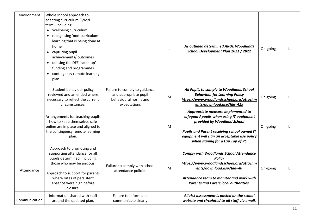<span id="page-10-1"></span><span id="page-10-0"></span>

| environment   | Whole school approach to<br>adapting curriculum (S/M/L<br>term), including:<br>Wellbeing curriculum<br>recognising 'non-curriculum'<br>learning that is being done at<br>home<br>capturing pupil<br>achievements/ outcomes<br>utilising the DFE 'catch-up'<br>funding and programmes<br>contingency remote learning<br>plan |                                                                                                 |   | As outlined determined AROE Woodlands<br>School Development Plan 2021 / 2022                                                                                                                                                                     | On-going |  |
|---------------|-----------------------------------------------------------------------------------------------------------------------------------------------------------------------------------------------------------------------------------------------------------------------------------------------------------------------------|-------------------------------------------------------------------------------------------------|---|--------------------------------------------------------------------------------------------------------------------------------------------------------------------------------------------------------------------------------------------------|----------|--|
|               | Student behaviour policy<br>reviewed and amended where<br>necessary to reflect the current<br>circumstances.                                                                                                                                                                                                                | Failure to comply to guidance<br>and appropriate pupil<br>behavioural norms and<br>expectations | M | All Pupils to comply to Woodlands School<br><b>Behaviour for Learning Policy</b><br>https://www.woodlandsschool.org/attachm<br>ents/download.asp?file=41#                                                                                        | On-going |  |
|               | Arrangements for teaching pupils<br>how to keep themselves safe<br>online are in place and aligned to<br>the contingency remote learning<br>plan.                                                                                                                                                                           |                                                                                                 | M | Appropriate measure implemented to<br>safeguard pupils when using IT equipment<br>provided by Woodland School<br>Pupils and Parent receiving school owned IT<br>equipment will sign an acceptable use policy<br>when signing for a Lap Top of PC | On-going |  |
| Attendance    | Approach to promoting and<br>supporting attendance for all<br>pupils determined, including<br>those who may be anxious.<br>Approach to support for parents<br>where rates of persistent<br>absence were high before<br>closure.                                                                                             | Failure to comply with school<br>attendance policies                                            | M | <b>Comply with Woodlands School Attendance</b><br><b>Policy</b><br>https://www.woodlandsschool.org/attachm<br>ents/download.asp?file=40<br>Attendance team to monitor and work with<br><b>Parents and Carers local authorities.</b>              | On-going |  |
| Communication | Information shared with staff<br>around the updated plan,                                                                                                                                                                                                                                                                   | Failure to inform and<br>communicate clearly                                                    |   | All risk assessment is posted on the school<br>website and circulated to all staff via email.                                                                                                                                                    |          |  |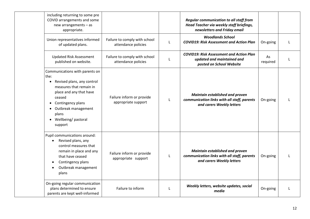| including returning to some pre<br>COVID arrangements and some<br>new arrangements - as<br>appropriate.                                                                                                                    |                                                      |              | <b>Regular communication to all staff from</b><br>Head Teacher via weekly staff briefings,<br>newsletters and Friday email |                |   |
|----------------------------------------------------------------------------------------------------------------------------------------------------------------------------------------------------------------------------|------------------------------------------------------|--------------|----------------------------------------------------------------------------------------------------------------------------|----------------|---|
| Union representatives informed<br>of updated plans.                                                                                                                                                                        | Failure to comply with school<br>attendance policies | L            | <b>Woodlands School</b><br><b>COVID19: Risk Assessment and Action Plan</b>                                                 | On-going       | T |
| <b>Updated Risk Assessment</b><br>published on website.                                                                                                                                                                    | Failure to comply with school<br>attendance policies | L            | <b>COVID19: Risk Assessment and Action Plan</b><br>updated and maintained and<br>posted on School Website                  | As<br>required | T |
| Communications with parents on<br>the:<br>Revised plans, any control<br>measures that remain in<br>place and any that have<br>ceased<br>Contingency plans<br>Outbreak management<br>plans<br>Wellbeing/pastoral<br>support | Failure inform or provide<br>appropriate support     | $\mathbf{I}$ | Maintain established and proven<br>communication links with all staff, parents<br>and carers Weekly letters                | On-going       |   |
| Pupil communications around:<br>Revised plans, any<br>control measures that<br>remain in place and any<br>that have ceased<br>Contingency plans<br>Outbreak management<br>plans                                            | Failure inform or provide<br>appropriate support     | $\mathbf{I}$ | Maintain established and proven<br>communication links with all staff, parents<br>and carers Weekly letters                | On-going       | T |
| On-going regular communication<br>plans determined to ensure<br>parents are kept well-informed                                                                                                                             | Failure to inform                                    | $\mathbf{I}$ | Weekly letters, website updates, social<br>media                                                                           | On-going       |   |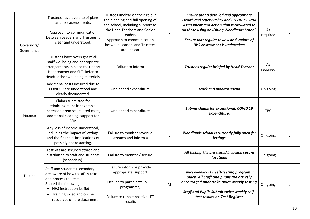<span id="page-12-1"></span><span id="page-12-0"></span>

| Governors/<br>Governance | Trustees have oversite of plans<br>and risk assessments.<br>Approach to communication<br>between Leaders and Trustees is<br>clear and understood.                                                            | Trustees unclear on their role in<br>the planning and full opening of<br>the school, including support to<br>the Head Teachers and Senior<br>Leaders.<br>Approach to communication<br>between Leaders and Trustees<br>are unclear | L | <b>Ensure that a detailed and appropriate</b><br><b>Health and Safety Policy and COVID 19: Risk</b><br>Assessment and Action Plan is circulated to<br>all those using or visiting Woodlands School.<br>Ensure that regular review and update of<br><b>Risk Assessment is undertaken</b> | As<br>required | L |
|--------------------------|--------------------------------------------------------------------------------------------------------------------------------------------------------------------------------------------------------------|-----------------------------------------------------------------------------------------------------------------------------------------------------------------------------------------------------------------------------------|---|-----------------------------------------------------------------------------------------------------------------------------------------------------------------------------------------------------------------------------------------------------------------------------------------|----------------|---|
|                          | Trustees have oversight of all<br>staff wellbeing and appropriate<br>arrangements in place to support<br>Headteacher and SLT. Refer to<br>Headteacher wellbeing materials.                                   | Failure to inform                                                                                                                                                                                                                 |   | <b>Trustees regular briefed by Head Teacher</b>                                                                                                                                                                                                                                         | As<br>required |   |
|                          | Additional costs incurred due to<br>COVID19 are understood and<br>clearly documented.                                                                                                                        | Unplanned expenditure                                                                                                                                                                                                             |   | <b>Track and monitor spend</b>                                                                                                                                                                                                                                                          | On going       |   |
| Finance                  | Claims submitted for<br>reimbursement for example,<br>increased premises related costs;<br>additional cleaning; support for<br><b>FSM</b>                                                                    | Unplanned expenditure                                                                                                                                                                                                             |   | <b>Submit claims for exceptional; COVID 19</b><br>expenditure.                                                                                                                                                                                                                          | <b>TBC</b>     |   |
|                          | Any loss of income understood,<br>including the impact of lettings<br>and the financial implications of<br>possibly not restarting.                                                                          | Failure to monitor revenue<br>streams and inform a                                                                                                                                                                                |   | Woodlands school is currently fully open for<br><b>lettings</b>                                                                                                                                                                                                                         | On-going       |   |
|                          | Test kits are securely stored and<br>distributed to staff and students<br>(secondary).                                                                                                                       | Failure to monitor / secure                                                                                                                                                                                                       |   | All testing kits are stored in locked secure<br><b>locations</b>                                                                                                                                                                                                                        | On-going       | L |
| Testing                  | Staff and students (secondary)<br>are aware of how to safely take<br>and process the test.<br>Shared the following:<br>• NHS instruction leaflet<br>• Training video and online<br>resources on the document | Failure inform or provide<br>appropriate support<br>Decline to participate in LFT<br>programme,<br>Failure to repost positive LFT<br>results                                                                                      | M | Twice-weekly LFT self-testing program in<br>place. All Staff and pupils are actively<br>encouraged undertake twice weekly testing<br><b>Staff and Pupils Submit twice weekly self-</b><br>test results on Test Register                                                                 | On-going       | L |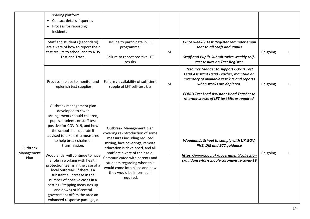|                                | sharing platform<br>Contact details if queries<br>$\bullet$<br>Process for reporting<br>$\bullet$<br>incidents                                                                                                                                                                                                                                                                                                                                                                                                                                                                                         |                                                                                                                                                                                                                                                                                                                                               |   |                                                                                                                                                                                                                                                                            |          |  |
|--------------------------------|--------------------------------------------------------------------------------------------------------------------------------------------------------------------------------------------------------------------------------------------------------------------------------------------------------------------------------------------------------------------------------------------------------------------------------------------------------------------------------------------------------------------------------------------------------------------------------------------------------|-----------------------------------------------------------------------------------------------------------------------------------------------------------------------------------------------------------------------------------------------------------------------------------------------------------------------------------------------|---|----------------------------------------------------------------------------------------------------------------------------------------------------------------------------------------------------------------------------------------------------------------------------|----------|--|
|                                | Staff and students (secondary)<br>are aware of how to report their<br>test results to school and to NHS<br>Test and Trace.                                                                                                                                                                                                                                                                                                                                                                                                                                                                             | Decline to participate in LFT<br>programme,<br>Failure to repost positive LFT<br>results                                                                                                                                                                                                                                                      | M | Twice weekly Test Register reminder email<br>sent to all Staff and Pupils<br><b>Staff and Pupils Submit twice weekly self-</b><br>test results on Test Register                                                                                                            | On-going |  |
|                                | Process in place to monitor and<br>replenish test supplies                                                                                                                                                                                                                                                                                                                                                                                                                                                                                                                                             | Failure / availability of sufficient<br>supple of LFT self-test kits                                                                                                                                                                                                                                                                          | M | <b>Resource Manger to support COVID Test</b><br>Lead Assistant Head Teacher, maintain an<br>inventory of available test kits and reports<br>when stocks are depleted.<br><b>COVID Test Lead Assistant Head Teacher to</b><br>re-order stocks of LFT test kits as required. | On-going |  |
| Outbreak<br>Management<br>Plan | Outbreak management plan<br>developed to cover<br>arrangements should children,<br>pupils, students or staff test<br>positive for COVID19, and how<br>the school shall operate if<br>advised to take extra measures<br>to help break chains of<br>transmission.<br>Woodlands will continue to have<br>a role in working with health<br>protection teams in the case of a<br>local outbreak. If there is a<br>substantial increase in the<br>number of positive cases in a<br>setting (Stepping measures up<br>and down) or if central<br>government offers the area an<br>enhanced response package, a | Outbreak Management plan<br>covering re-introduction of some<br>measures including reduced<br>mixing, face coverings, remote<br>education is developed, and all<br>staff are aware of their role.<br>Communicated with parents and<br>students regarding when this<br>would come into place and how<br>they would be informed if<br>required. | L | Woodlands School to comply with UK.GOV,<br>PHE, DfE and ECC guidance<br>https://www.gov.uk/government/collection<br>s/guidance-for-schools-coronavirus-covid-19                                                                                                            | On-going |  |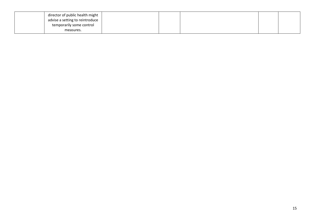| director of public health might |  |  |  |
|---------------------------------|--|--|--|
| advise a setting to reintroduce |  |  |  |
| temporarily some control        |  |  |  |
| measures.                       |  |  |  |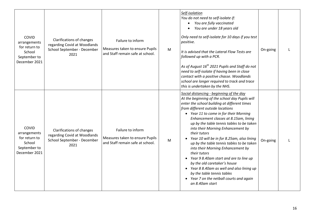| COVID<br>arrangements<br>for return to<br>School<br>September to<br>December 2021 | Clarifications of changes<br>regarding Covid at Woodlands<br>School September - December<br>2021        | Failure to inform<br>Measures taken to ensure Pupils<br>and Staff remain safe at school. | M | Self-isolation<br>You do not need to self-isolate if:<br>You are fully vaccinated<br>$\bullet$<br>You are under 18 years old<br>$\bullet$<br>Only need to self-isolate for 10 days if you test<br>positive.<br>It is advised that the Lateral Flow Tests are<br>followed up with a PCR.<br>As of August 16 <sup>th</sup> 2021 Pupils and Staff do not<br>need to self-isolate if having been in close<br>contact with a positive chasse. Woodlands<br>school are longer required to track and trace<br>this is undertaken by the NHS.                                                                                                                                                                                                    | On-going | $\mathbf{I}$ |
|-----------------------------------------------------------------------------------|---------------------------------------------------------------------------------------------------------|------------------------------------------------------------------------------------------|---|------------------------------------------------------------------------------------------------------------------------------------------------------------------------------------------------------------------------------------------------------------------------------------------------------------------------------------------------------------------------------------------------------------------------------------------------------------------------------------------------------------------------------------------------------------------------------------------------------------------------------------------------------------------------------------------------------------------------------------------|----------|--------------|
| COVID<br>arrangements<br>for return to<br>School<br>September to<br>December 2021 | <b>Clarifications of changes</b><br>regarding Covid at Woodlands<br>School September - December<br>2021 | Failure to inform<br>Measures taken to ensure Pupils<br>and Staff remain safe at school. | M | Social distancing - beginning of the day<br>At the beginning of the school day Pupils will<br>enter the school building at different times<br>from different outside locations<br>• Year 11 to come in for their Morning<br>Enhancement classes at 8.15am, lining<br>up by the table tennis tables to be taken<br>into their Morning Enhancement by<br>their tutors<br>Year 10 will be in for 8.25am, also lining<br>up by the table tennis tables to be taken<br>into their Morning Enhancement by<br>their tutors<br>Year 9 8.40am start and are to line up<br>by the old caretaker's house<br>• Year 8 8.40am as well and also lining up<br>by the table tennis tables<br>• Year 7 on the netball courts and again<br>an 8.40am start | On-going |              |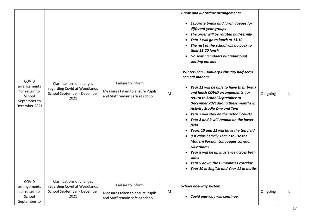| COVID<br>arrangements<br>for return to<br>School<br>September to<br>December 2021 | Clarifications of changes<br>regarding Covid at Woodlands<br>School September - December<br>2021 | Failure to inform<br>Measures taken to ensure Pupils<br>and Staff remain safe at school. | M | <b>Break and lunchtime arrangements</b><br>Separate break and lunch queues for<br>different year groups<br>The order will be rotated half-termly<br>$\bullet$<br>Year 7 will go to lunch at 13.10<br>The rest of the school will go back to<br>their 13.20 lunch<br>No seating indoors but additional<br>$\bullet$<br>seating outside<br>Winter Plan - January-February half-term<br>can eat indoors.<br>Year 11 will be able to have their break<br>and lunch COVID arrangements for<br>return to School September to<br>December 2021 during these months in<br><b>Activity Studio One and Two</b><br>Year 7 will stay on the netball courts<br>Year 8 and 9 will remain on the lower<br>field<br>Years 10 and 11 will have the top field<br>If it rains heavily Year 7 to use the<br><b>Modern Foreign Languages corridor</b><br>classrooms<br>Year 8 will be up in science across both<br>sides<br><b>Year 9 down the Humanities corridor</b><br>Year 10 in English and Year 11 in maths<br>٠ | On-going |   |
|-----------------------------------------------------------------------------------|--------------------------------------------------------------------------------------------------|------------------------------------------------------------------------------------------|---|---------------------------------------------------------------------------------------------------------------------------------------------------------------------------------------------------------------------------------------------------------------------------------------------------------------------------------------------------------------------------------------------------------------------------------------------------------------------------------------------------------------------------------------------------------------------------------------------------------------------------------------------------------------------------------------------------------------------------------------------------------------------------------------------------------------------------------------------------------------------------------------------------------------------------------------------------------------------------------------------------|----------|---|
| COVID<br>arrangements<br>for return to<br>School<br>September to                  | Clarifications of changes<br>regarding Covid at Woodlands<br>School September - December<br>2021 | Failure to inform<br>Measures taken to ensure Pupils<br>and Staff remain safe at school. | M | <b>School one-way system</b><br>• Covid one-way will continue                                                                                                                                                                                                                                                                                                                                                                                                                                                                                                                                                                                                                                                                                                                                                                                                                                                                                                                                     | On-going | L |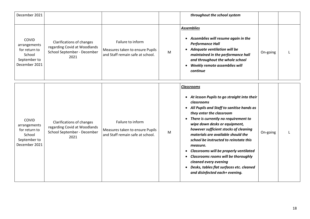| December 2021                                                                     |                                                                                                  |                                                                                          |   | throughout the school system                                                                                                                                                                                                                                                                                                                                                                                                                                                                                                                                                  |          |  |
|-----------------------------------------------------------------------------------|--------------------------------------------------------------------------------------------------|------------------------------------------------------------------------------------------|---|-------------------------------------------------------------------------------------------------------------------------------------------------------------------------------------------------------------------------------------------------------------------------------------------------------------------------------------------------------------------------------------------------------------------------------------------------------------------------------------------------------------------------------------------------------------------------------|----------|--|
| COVID<br>arrangements<br>for return to<br>School<br>September to<br>December 2021 | Clarifications of changes<br>regarding Covid at Woodlands<br>School September - December<br>2021 | Failure to inform<br>Measures taken to ensure Pupils<br>and Staff remain safe at school. | M | <b>Assemblies</b><br>• Assemblies will resume again in the<br><b>Performance Hall</b><br>• Adequate ventilation will be<br>maintained in the performance hall<br>and throughout the whole school<br>Weekly remote assemblies will<br>continue                                                                                                                                                                                                                                                                                                                                 | On-going |  |
| COVID<br>arrangements<br>for return to<br>School<br>September to<br>December 2021 | Clarifications of changes<br>regarding Covid at Woodlands<br>School September - December<br>2021 | Failure to inform<br>Measures taken to ensure Pupils<br>and Staff remain safe at school. | M | <b>Classrooms</b><br>• At lesson Pupils to go straight into their<br>classrooms<br>• All Pupils and Staff to sanitise hands as<br>they enter the classroom<br>• There is currently no requirement to<br>wipe down desks or equipment,<br>however sufficient stocks of cleaning<br>materials are available should the<br>school be instructed to reinstate this<br>measure.<br>• Classrooms will be properly ventilated<br><b>Classrooms rooms will be thoroughly</b><br>cleaned every evening<br>• Desks, tables flat surfaces etc. cleaned<br>and disinfected each+ evening. | On-going |  |